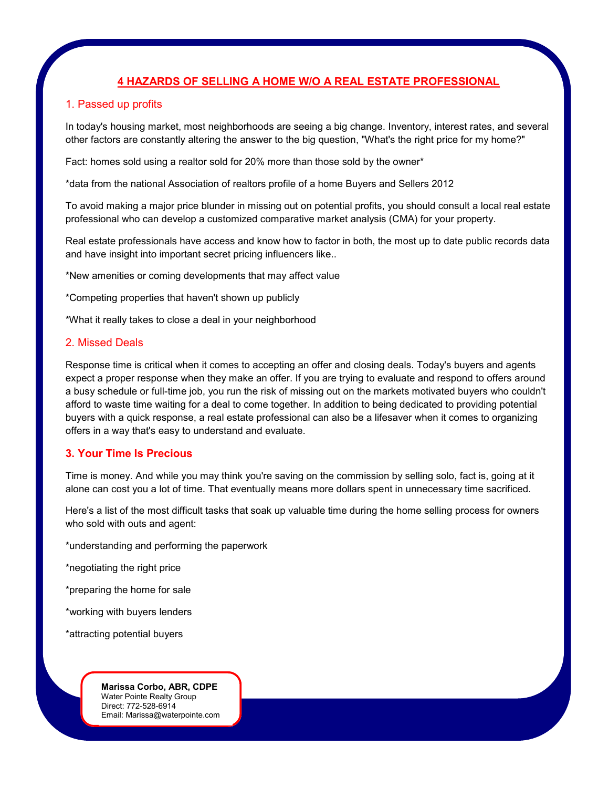# **4 HAZARDS OF SELLING A HOME W/O A REAL ESTATE PROFESSIONAL**

## 1. Passed up profits

In today's housing market, most neighborhoods are seeing a big change. Inventory, interest rates, and several other factors are constantly altering the answer to the big question, "What's the right price for my home?"

Fact: homes sold using a realtor sold for 20% more than those sold by the owner\*

\*data from the national Association of realtors profile of a home Buyers and Sellers 2012

To avoid making a major price blunder in missing out on potential profits, you should consult a local real estate professional who can develop a customized comparative market analysis (CMA) for your property.

Real estate professionals have access and know how to factor in both, the most up to date public records data and have insight into important secret pricing influencers like..

\*New amenities or coming developments that may affect value

\*Competing properties that haven't shown up publicly

\*What it really takes to close a deal in your neighborhood

#### 2. Missed Deals

Response time is critical when it comes to accepting an offer and closing deals. Today's buyers and agents expect a proper response when they make an offer. If you are trying to evaluate and respond to offers around a busy schedule or full-time job, you run the risk of missing out on the markets motivated buyers who couldn't afford to waste time waiting for a deal to come together. In addition to being dedicated to providing potential buyers with a quick response, a real estate professional can also be a lifesaver when it comes to organizing offers in a way that's easy to understand and evaluate.

## **3. Your Time Is Precious**

Time is money. And while you may think you're saving on the commission by selling solo, fact is, going at it alone can cost you a lot of time. That eventually means more dollars spent in unnecessary time sacrificed.

Here's a list of the most difficult tasks that soak up valuable time during the home selling process for owners who sold with outs and agent:

\*understanding and performing the paperwork

\*negotiating the right price

\*preparing the home for sale

\*working with buyers lenders

\*attracting potential buyers

**Marissa Corbo, ABR, CDPE** Water Pointe Realty Group Direct: 772-528-6914 Email: Marissa@waterpointe.com